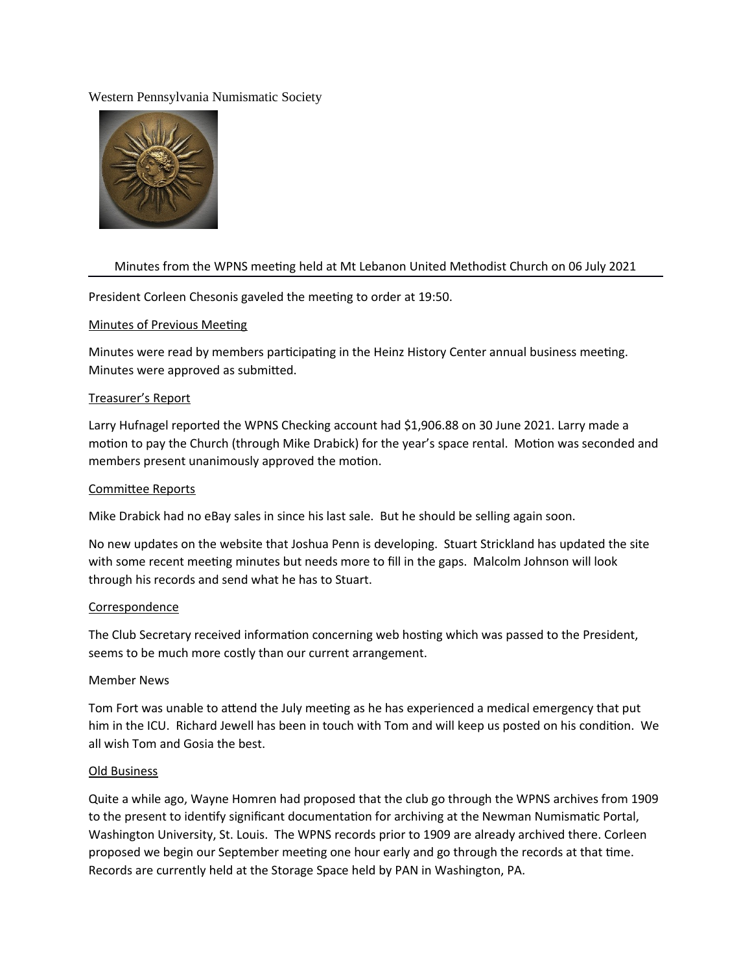### Western Pennsylvania Numismatic Society



# Minutes from the WPNS meeting held at Mt Lebanon United Methodist Church on 06 July 2021

President Corleen Chesonis gaveled the meeting to order at 19:50.

### Minutes of Previous Meeting

Minutes were read by members participating in the Heinz History Center annual business meeting. Minutes were approved as submitted.

## Treasurer's Report

Larry Hufnagel reported the WPNS Checking account had \$1,906.88 on 30 June 2021. Larry made a motion to pay the Church (through Mike Drabick) for the year's space rental. Motion was seconded and members present unanimously approved the motion.

#### Commitee Reports

Mike Drabick had no eBay sales in since his last sale. But he should be selling again soon.

No new updates on the website that Joshua Penn is developing. Stuart Strickland has updated the site with some recent meeting minutes but needs more to fill in the gaps. Malcolm Johnson will look through his records and send what he has to Stuart.

#### Correspondence

The Club Secretary received information concerning web hosting which was passed to the President, seems to be much more costly than our current arrangement.

## Member News

Tom Fort was unable to attend the July meeting as he has experienced a medical emergency that put him in the ICU. Richard Jewell has been in touch with Tom and will keep us posted on his condition. We all wish Tom and Gosia the best.

#### Old Business

Quite a while ago, Wayne Homren had proposed that the club go through the WPNS archives from 1909 to the present to identify significant documentation for archiving at the Newman Numismatic Portal, Washington University, St. Louis. The WPNS records prior to 1909 are already archived there. Corleen proposed we begin our September meeting one hour early and go through the records at that time. Records are currently held at the Storage Space held by PAN in Washington, PA.